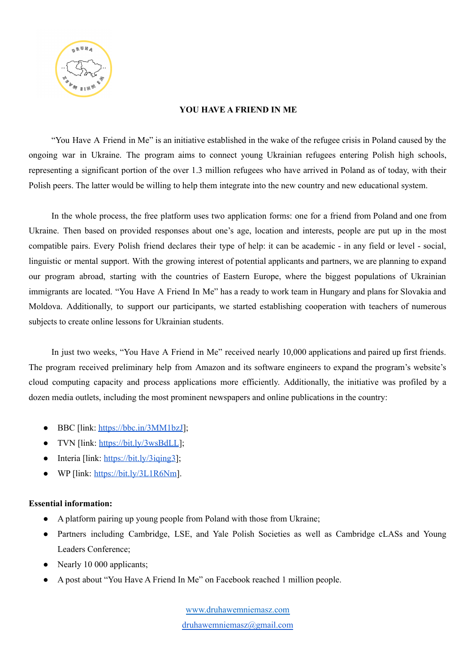

## **YOU HAVE A FRIEND IN ME**

"You Have A Friend in Me" is an initiative established in the wake of the refugee crisis in Poland caused by the ongoing war in Ukraine. The program aims to connect young Ukrainian refugees entering Polish high schools, representing a significant portion of the over 1.3 million refugees who have arrived in Poland as of today, with their Polish peers. The latter would be willing to help them integrate into the new country and new educational system.

In the whole process, the free platform uses two application forms: one for a friend from Poland and one from Ukraine. Then based on provided responses about one's age, location and interests, people are put up in the most compatible pairs. Every Polish friend declares their type of help: it can be academic - in any field or level - social, linguistic or mental support. With the growing interest of potential applicants and partners, we are planning to expand our program abroad, starting with the countries of Eastern Europe, where the biggest populations of Ukrainian immigrants are located. "You Have A Friend In Me" has a ready to work team in Hungary and plans for Slovakia and Moldova. Additionally, to support our participants, we started establishing cooperation with teachers of numerous subjects to create online lessons for Ukrainian students.

In just two weeks, "You Have A Friend in Me" received nearly 10,000 applications and paired up first friends. The program received preliminary help from Amazon and its software engineers to expand the program's website's cloud computing capacity and process applications more efficiently. Additionally, the initiative was profiled by a dozen media outlets, including the most prominent newspapers and online publications in the country:

- BBC [link: <https://bbc.in/3MM1bzJ>];
- TVN [link: <https://bit.ly/3wsBdLL>];
- Interia [link: <https://bit.ly/3iqing3>];
- WP [link: <https://bit.ly/3L1R6Nm>].

## **Essential information:**

- A platform pairing up young people from Poland with those from Ukraine;
- Partners including Cambridge, LSE, and Yale Polish Societies as well as Cambridge cLASs and Young Leaders Conference;
- Nearly 10 000 applicants;
- A post about "You Have A Friend In Me" on Facebook reached 1 million people.

[www.druhawemniemasz.com](http://www.druhawemniemasz.com) [druhawemniemasz@gmail.com](mailto:druhawemniemasz@gmail.com)